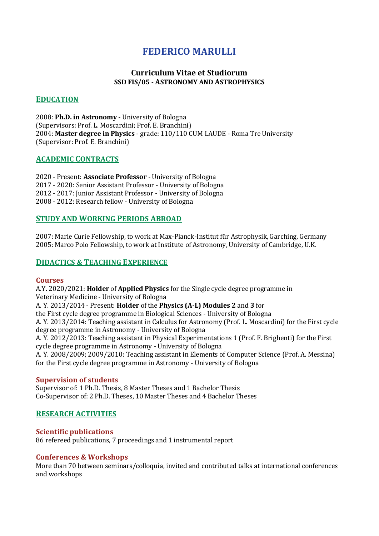# **FEDERICO MARULLI**

# **Curriculum Vitae et Studiorum SSD FIS/05 - ASTRONOMY AND ASTROPHYSICS**

## **EDUCATION**

2008: **Ph.D. in Astronomy** - University of Bologna (Supervisors: Prof. L. Moscardini; Prof. E. Branchini) 2004: **Master degree in Physics** - grade: 110/110 CUM LAUDE - Roma Tre University (Supervisor: Prof. E. Branchini)

# **ACADEMIC CONTRACTS**

2020 - Present: **Associate Professor** - University of Bologna 2017 - 2020: Senior Assistant Professor - University of Bologna 2012 - 2017: Junior Assistant Professor - University of Bologna 2008 - 2012: Research fellow - University of Bologna

# **STUDY AND WORKING PERIODS ABROAD**

2007: Marie Curie Fellowship, to work at Max-Planck-Institut für Astrophysik, Garching, Germany 2005: Marco Polo Fellowship, to work at Institute of Astronomy, University of Cambridge, U.K.

# **DIDACTICS & TEACHING EXPERIENCE**

## **Courses**

A.Y. 2020/2021: **Holder** of **Applied Physics** for the Single cycle degree programme in Veterinary Medicine - University of Bologna A. Y. 2013/2014 - Present: **Holder** of the **Physics (A-L) Modules 2** and **3** for the First cycle degree programme in Biological Sciences - University of Bologna A. Y. 2013/2014: Teaching assistant in Calculus for Astronomy (Prof. L. Moscardini) for the First cycle degree programme in Astronomy - University of Bologna A. Y. 2012/2013: Teaching assistant in Physical Experimentations 1 (Prof. F. Brighenti) for the First cycle degree programme in Astronomy - University of Bologna A. Y. 2008/2009; 2009/2010: Teaching assistant in Elements of Computer Science (Prof. A. Messina) for the First cycle degree programme in Astronomy - University of Bologna

## **Supervision of students**

Supervisor of: 1 Ph.D. Thesis, 8 Master Theses and 1 Bachelor Thesis Co-Supervisor of: 2 Ph.D. Theses, 10 Master Theses and 4 Bachelor Theses

## **RESEARCH ACTIVITIES**

**Scientific publications** 86 refereed publications, 7 proceedings and 1 instrumental report

## **Conferences & Workshops**

More than 70 between seminars/colloquia, invited and contributed talks at international conferences and workshops